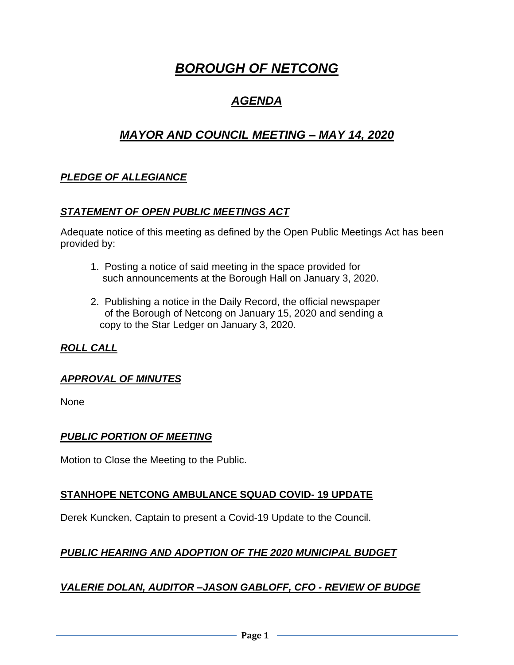# *BOROUGH OF NETCONG*

# *AGENDA*

# *MAYOR AND COUNCIL MEETING – MAY 14, 2020*

### *PLEDGE OF ALLEGIANCE*

#### *STATEMENT OF OPEN PUBLIC MEETINGS ACT*

Adequate notice of this meeting as defined by the Open Public Meetings Act has been provided by:

- 1. Posting a notice of said meeting in the space provided for such announcements at the Borough Hall on January 3, 2020.
- 2. Publishing a notice in the Daily Record, the official newspaper of the Borough of Netcong on January 15, 2020 and sending a copy to the Star Ledger on January 3, 2020.

### *ROLL CALL*

#### *APPROVAL OF MINUTES*

None

#### *PUBLIC PORTION OF MEETING*

Motion to Close the Meeting to the Public.

#### **STANHOPE NETCONG AMBULANCE SQUAD COVID- 19 UPDATE**

Derek Kuncken, Captain to present a Covid-19 Update to the Council.

### *PUBLIC HEARING AND ADOPTION OF THE 2020 MUNICIPAL BUDGET*

#### *VALERIE DOLAN, AUDITOR –JASON GABLOFF, CFO - REVIEW OF BUDGE*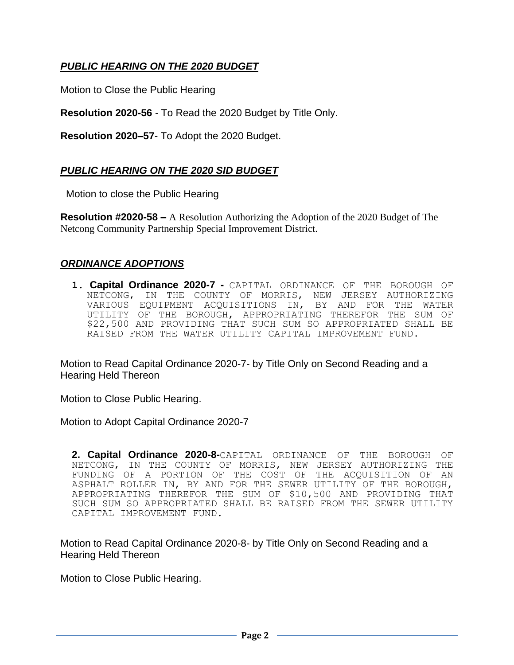### *PUBLIC HEARING ON THE 2020 BUDGET*

Motion to Close the Public Hearing

**Resolution 2020-56** - To Read the 2020 Budget by Title Only.

**Resolution 2020–57**- To Adopt the 2020 Budget.

#### *PUBLIC HEARING ON THE 2020 SID BUDGET*

Motion to close the Public Hearing

**Resolution #2020-58 –** A Resolution Authorizing the Adoption of the 2020 Budget of The Netcong Community Partnership Special Improvement District.

#### *ORDINANCE ADOPTIONS*

**1. Capital Ordinance 2020-7 -** CAPITAL ORDINANCE OF THE BOROUGH OF NETCONG, IN THE COUNTY OF MORRIS, NEW JERSEY AUTHORIZING VARIOUS EQUIPMENT ACQUISITIONS IN, BY AND FOR THE WATER UTILITY OF THE BOROUGH, APPROPRIATING THEREFOR THE SUM OF \$22,500 AND PROVIDING THAT SUCH SUM SO APPROPRIATED SHALL BE RAISED FROM THE WATER UTILITY CAPITAL IMPROVEMENT FUND.

Motion to Read Capital Ordinance 2020-7- by Title Only on Second Reading and a Hearing Held Thereon

Motion to Close Public Hearing.

Motion to Adopt Capital Ordinance 2020-7

**2. Capital Ordinance 2020-8-**CAPITAL ORDINANCE OF THE BOROUGH OF NETCONG, IN THE COUNTY OF MORRIS, NEW JERSEY AUTHORIZING THE FUNDING OF A PORTION OF THE COST OF THE ACQUISITION OF AN ASPHALT ROLLER IN, BY AND FOR THE SEWER UTILITY OF THE BOROUGH, APPROPRIATING THEREFOR THE SUM OF \$10,500 AND PROVIDING THAT SUCH SUM SO APPROPRIATED SHALL BE RAISED FROM THE SEWER UTILITY CAPITAL IMPROVEMENT FUND.

Motion to Read Capital Ordinance 2020-8- by Title Only on Second Reading and a Hearing Held Thereon

Motion to Close Public Hearing.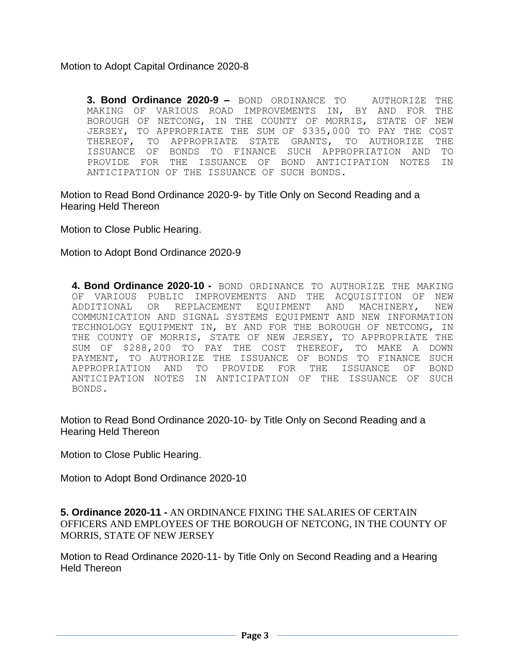Motion to Adopt Capital Ordinance 2020-8

**3. Bond Ordinance 2020-9 –** BOND ORDINANCE TO AUTHORIZE THE MAKING OF VARIOUS ROAD IMPROVEMENTS IN, BY AND FOR THE BOROUGH OF NETCONG, IN THE COUNTY OF MORRIS, STATE OF NEW JERSEY, TO APPROPRIATE THE SUM OF \$335,000 TO PAY THE COST THEREOF, TO APPROPRIATE STATE GRANTS, TO AUTHORIZE THE ISSUANCE OF BONDS TO FINANCE SUCH APPROPRIATION AND TO PROVIDE FOR THE ISSUANCE OF BOND ANTICIPATION NOTES IN ANTICIPATION OF THE ISSUANCE OF SUCH BONDS.

Motion to Read Bond Ordinance 2020-9- by Title Only on Second Reading and a Hearing Held Thereon

Motion to Close Public Hearing.

Motion to Adopt Bond Ordinance 2020-9

**4. Bond Ordinance 2020-10 -** BOND ORDINANCE TO AUTHORIZE THE MAKING OF VARIOUS PUBLIC IMPROVEMENTS AND THE ACQUISITION OF NEW ADDITIONAL OR REPLACEMENT EQUIPMENT AND MACHINERY, NEW COMMUNICATION AND SIGNAL SYSTEMS EQUIPMENT AND NEW INFORMATION TECHNOLOGY EQUIPMENT IN, BY AND FOR THE BOROUGH OF NETCONG, IN THE COUNTY OF MORRIS, STATE OF NEW JERSEY, TO APPROPRIATE THE SUM OF \$288,200 TO PAY THE COST THEREOF, TO MAKE A DOWN PAYMENT, TO AUTHORIZE THE ISSUANCE OF BONDS TO FINANCE SUCH APPROPRIATION AND TO PROVIDE FOR THE ISSUANCE OF BOND ANTICIPATION NOTES IN ANTICIPATION OF THE ISSUANCE OF SUCH BONDS.

Motion to Read Bond Ordinance 2020-10- by Title Only on Second Reading and a Hearing Held Thereon

Motion to Close Public Hearing.

Motion to Adopt Bond Ordinance 2020-10

**5. Ordinance 2020-11 -** AN ORDINANCE FIXING THE SALARIES OF CERTAIN OFFICERS AND EMPLOYEES OF THE BOROUGH OF NETCONG, IN THE COUNTY OF MORRIS, STATE OF NEW JERSEY

Motion to Read Ordinance 2020-11- by Title Only on Second Reading and a Hearing Held Thereon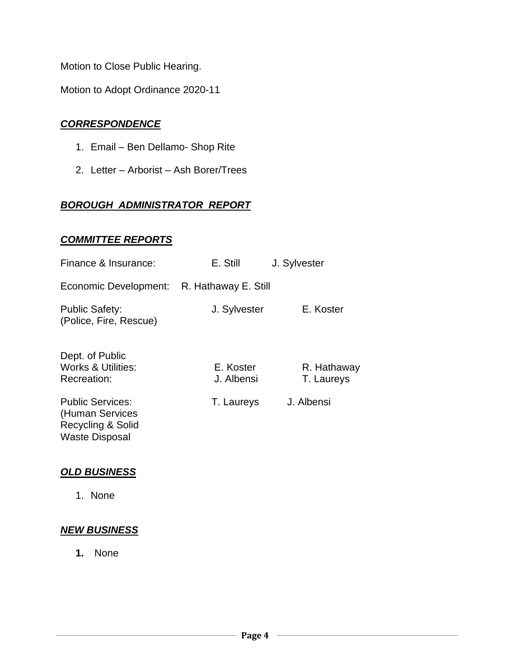Motion to Close Public Hearing.

Motion to Adopt Ordinance 2020-11

#### *CORRESPONDENCE*

- 1. Email Ben Dellamo- Shop Rite
- 2. Letter Arborist Ash Borer/Trees

#### *BOROUGH ADMINISTRATOR REPORT*

#### *COMMITTEE REPORTS*

| Finance & Insurance:                                                                                | E. Still                | J. Sylvester              |
|-----------------------------------------------------------------------------------------------------|-------------------------|---------------------------|
| Economic Development: R. Hathaway E. Still                                                          |                         |                           |
| <b>Public Safety:</b><br>(Police, Fire, Rescue)                                                     | J. Sylvester            | E. Koster                 |
| Dept. of Public<br><b>Works &amp; Utilities:</b><br>Recreation:                                     | E. Koster<br>J. Albensi | R. Hathaway<br>T. Laureys |
| <b>Public Services:</b><br>(Human Services<br><b>Recycling &amp; Solid</b><br><b>Waste Disposal</b> | T. Laureys              | J. Albensi                |

#### *OLD BUSINESS*

1. None

#### *NEW BUSINESS*

**1.** None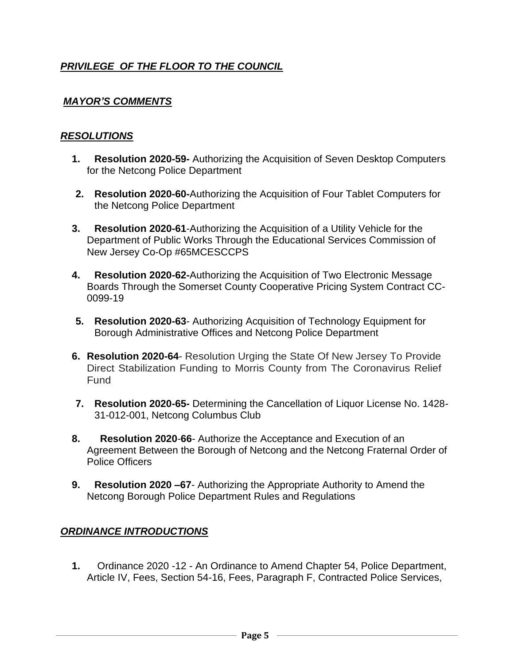## *PRIVILEGE OF THE FLOOR TO THE COUNCIL*

### *MAYOR'S COMMENTS*

#### *RESOLUTIONS*

- **1. Resolution 2020-59-** Authorizing the Acquisition of Seven Desktop Computers for the Netcong Police Department
- **2. Resolution 2020-60-**Authorizing the Acquisition of Four Tablet Computers for the Netcong Police Department
- **3. Resolution 2020-61**-Authorizing the Acquisition of a Utility Vehicle for the Department of Public Works Through the Educational Services Commission of New Jersey Co-Op #65MCESCCPS
- **4. Resolution 2020-62-**Authorizing the Acquisition of Two Electronic Message Boards Through the Somerset County Cooperative Pricing System Contract CC-0099-19
- **5. Resolution 2020-63** Authorizing Acquisition of Technology Equipment for Borough Administrative Offices and Netcong Police Department
- **6. Resolution 2020-64** Resolution Urging the State Of New Jersey To Provide Direct Stabilization Funding to Morris County from The Coronavirus Relief Fund
- **7. Resolution 2020-65-** Determining the Cancellation of Liquor License No. 1428- 31-012-001, Netcong Columbus Club
- **8. Resolution 2020**-**66** Authorize the Acceptance and Execution of an Agreement Between the Borough of Netcong and the Netcong Fraternal Order of Police Officers
- **9. Resolution 2020 –67** Authorizing the Appropriate Authority to Amend the Netcong Borough Police Department Rules and Regulations

### *ORDINANCE INTRODUCTIONS*

**1.** Ordinance 2020 -12 - An Ordinance to Amend Chapter 54, Police Department, Article IV, Fees, Section 54-16, Fees, Paragraph F, Contracted Police Services,